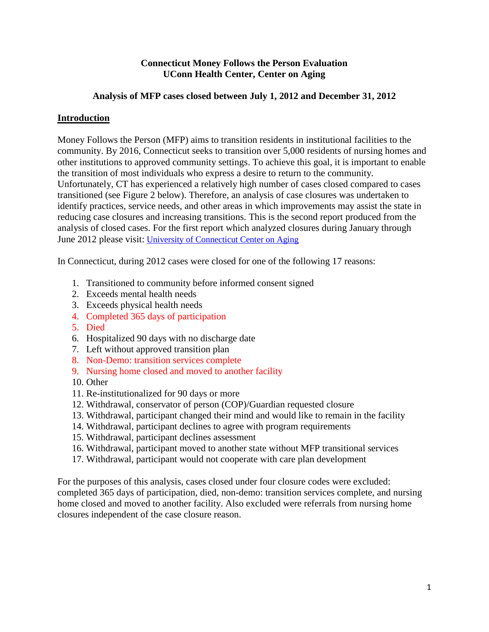## **Connecticut Money Follows the Person Evaluation UConn Health Center, Center on Aging**

## **Analysis of MFP cases closed between July 1, 2012 and December 31, 2012**

## **Introduction**

Money Follows the Person (MFP) aims to transition residents in institutional facilities to the community. By 2016, Connecticut seeks to transition over 5,000 residents of nursing homes and other institutions to approved community settings. To achieve this goal, it is important to enable the transition of most individuals who express a desire to return to the community. Unfortunately, CT has experienced a relatively high number of cases closed compared to cases transitioned (see Figure 2 below). Therefore, an analysis of case closures was undertaken to identify practices, service needs, and other areas in which improvements may assist the state in reducing case closures and increasing transitions. This is the second report produced from the analysis of closed cases. For the first report which analyzed closures during January through June 2012 please visit: [University of Connecticut Center on Aging](http://www.uconn-aging.uchc.edu/money_follows_the_person_demonstation_evaluation_reports.html)

In Connecticut, during 2012 cases were closed for one of the following 17 reasons:

- 1. Transitioned to community before informed consent signed
- 2. Exceeds mental health needs
- 3. Exceeds physical health needs
- 4. Completed 365 days of participation
- 5. Died
- 6. Hospitalized 90 days with no discharge date
- 7. Left without approved transition plan
- 8. Non-Demo: transition services complete
- 9. Nursing home closed and moved to another facility
- 10. Other
- 11. Re-institutionalized for 90 days or more
- 12. Withdrawal, conservator of person (COP)/Guardian requested closure
- 13. Withdrawal, participant changed their mind and would like to remain in the facility
- 14. Withdrawal, participant declines to agree with program requirements
- 15. Withdrawal, participant declines assessment
- 16. Withdrawal, participant moved to another state without MFP transitional services
- 17. Withdrawal, participant would not cooperate with care plan development

For the purposes of this analysis, cases closed under four closure codes were excluded: completed 365 days of participation, died, non-demo: transition services complete, and nursing home closed and moved to another facility. Also excluded were referrals from nursing home closures independent of the case closure reason.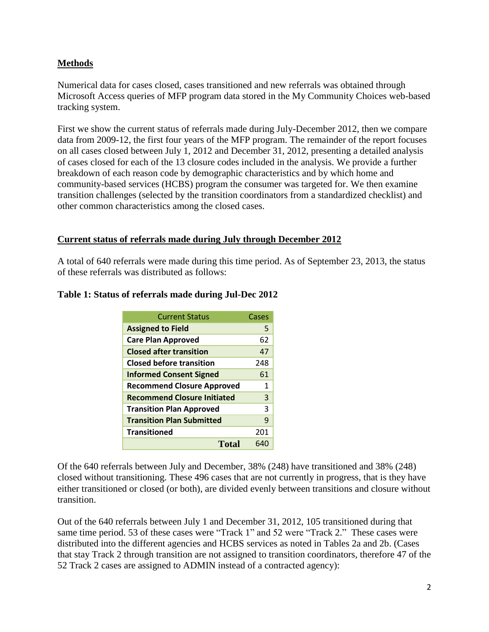## **Methods**

Numerical data for cases closed, cases transitioned and new referrals was obtained through Microsoft Access queries of MFP program data stored in the My Community Choices web-based tracking system.

First we show the current status of referrals made during July-December 2012, then we compare data from 2009-12, the first four years of the MFP program. The remainder of the report focuses on all cases closed between July 1, 2012 and December 31, 2012, presenting a detailed analysis of cases closed for each of the 13 closure codes included in the analysis. We provide a further breakdown of each reason code by demographic characteristics and by which home and community-based services (HCBS) program the consumer was targeted for. We then examine transition challenges (selected by the transition coordinators from a standardized checklist) and other common characteristics among the closed cases.

## **Current status of referrals made during July through December 2012**

A total of 640 referrals were made during this time period. As of September 23, 2013, the status of these referrals was distributed as follows:

| <b>Current Status</b>              | Cases |
|------------------------------------|-------|
| <b>Assigned to Field</b>           | 5     |
| <b>Care Plan Approved</b>          | 62    |
| <b>Closed after transition</b>     | 47    |
| <b>Closed before transition</b>    | 248   |
| <b>Informed Consent Signed</b>     | 61    |
| <b>Recommend Closure Approved</b>  | 1     |
| <b>Recommend Closure Initiated</b> | 3     |
| <b>Transition Plan Approved</b>    | 3     |
| <b>Transition Plan Submitted</b>   | ٩     |
| <b>Transitioned</b>                | 201   |
| Total                              | 640   |

#### **Table 1: Status of referrals made during Jul-Dec 2012**

Of the 640 referrals between July and December, 38% (248) have transitioned and 38% (248) closed without transitioning. These 496 cases that are not currently in progress, that is they have either transitioned or closed (or both), are divided evenly between transitions and closure without transition.

Out of the 640 referrals between July 1 and December 31, 2012, 105 transitioned during that same time period. 53 of these cases were "Track 1" and 52 were "Track 2." These cases were distributed into the different agencies and HCBS services as noted in Tables 2a and 2b. (Cases that stay Track 2 through transition are not assigned to transition coordinators, therefore 47 of the 52 Track 2 cases are assigned to ADMIN instead of a contracted agency):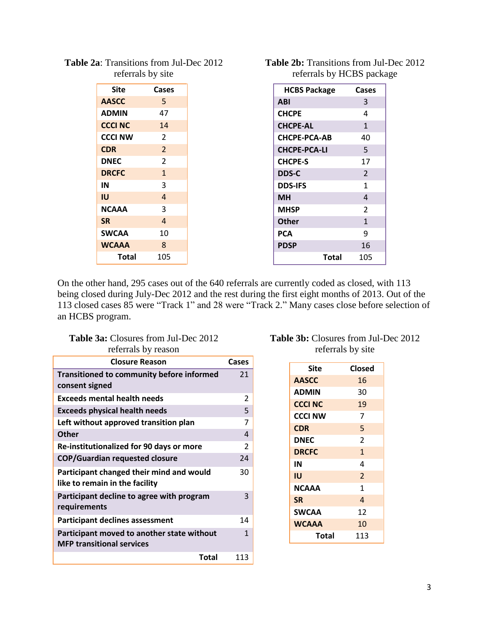| <b>Site</b>    | Cases          |
|----------------|----------------|
| <b>AASCC</b>   | 5.             |
| <b>ADMIN</b>   | 47             |
| <b>CCCI NC</b> | 14             |
| <b>CCCI NW</b> | 2              |
| <b>CDR</b>     | $\overline{2}$ |
| <b>DNEC</b>    | 2              |
| <b>DRCFC</b>   | $\mathbf{1}$   |
| IN             | 3              |
| IU             | 4              |
| <b>NCAAA</b>   | 3              |
| <b>SR</b>      | 4              |
| <b>SWCAA</b>   | 10             |
| <b>WCAAA</b>   | 8              |
| Total          | 105            |

## **Table 2a**: Transitions from Jul-Dec 2012 referrals by site

| <b>Table 2b:</b> Transitions from Jul-Dec 2012 |  |
|------------------------------------------------|--|
| referrals by HCBS package                      |  |

| <b>HCBS Package</b> | Cases          |
|---------------------|----------------|
| <b>ABI</b>          | 3              |
| <b>CHCPE</b>        | 4              |
| <b>CHCPE-AL</b>     | $\mathbf{1}$   |
| <b>CHCPE-PCA-AB</b> | 40             |
| <b>CHCPE-PCA-LI</b> | 5              |
| <b>CHCPE-S</b>      | 17             |
| <b>DDS-C</b>        | $\overline{2}$ |
| <b>DDS-IFS</b>      | 1              |
| MН                  | 4              |
| <b>MHSP</b>         | $\overline{2}$ |
| <b>Other</b>        | $\mathbf{1}$   |
| PCA                 | ٩              |
| <b>PDSP</b>         | 16             |
| Total               | 105            |

On the other hand, 295 cases out of the 640 referrals are currently coded as closed, with 113 being closed during July-Dec 2012 and the rest during the first eight months of 2013. Out of the 113 closed cases 85 were "Track 1" and 28 were "Track 2." Many cases close before selection of an HCBS program.

## **Table 3a:** Closures from Jul-Dec 2012 referrals by reason

| <b>Closure Reason</b>                                                          | Cases |
|--------------------------------------------------------------------------------|-------|
| <b>Transitioned to community before informed</b><br>consent signed             | 21    |
| <b>Exceeds mental health needs</b>                                             | 2     |
| <b>Exceeds physical health needs</b>                                           | 5     |
| Left without approved transition plan                                          | 7     |
| <b>Other</b>                                                                   | 4     |
| Re-institutionalized for 90 days or more                                       | 2     |
| <b>COP/Guardian requested closure</b>                                          | 24    |
| Participant changed their mind and would<br>like to remain in the facility     | 30    |
| Participant decline to agree with program<br>requirements                      | 3     |
| <b>Participant declines assessment</b>                                         | 14    |
| Participant moved to another state without<br><b>MFP transitional services</b> | 1     |
| Total                                                                          | 113   |

## **Table 3b:** Closures from Jul-Dec 2012 referrals by site

| Site           | Closed         |
|----------------|----------------|
| <b>AASCC</b>   | 16             |
| <b>ADMIN</b>   | 30             |
| <b>CCCI NC</b> | 19             |
| <b>CCCI NW</b> | 7              |
| <b>CDR</b>     | 5              |
| <b>DNEC</b>    | $\overline{2}$ |
| <b>DRCFC</b>   | 1              |
| IN             | 4              |
| IU             | $\overline{2}$ |
| <b>NCAAA</b>   | 1              |
| <b>SR</b>      | 4              |
| <b>SWCAA</b>   | 12             |
| <b>WCAAA</b>   | 10             |
| Total          | 113            |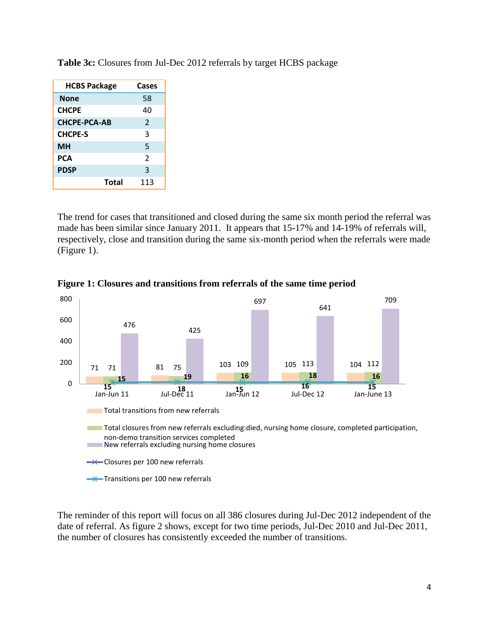| <b>HCBS Package</b> | Cases          |
|---------------------|----------------|
| None                | 58             |
| <b>CHCPE</b>        | 40             |
| <b>CHCPE-PCA-AB</b> | $\overline{2}$ |
| <b>CHCPE-S</b>      | 3              |
| <b>MH</b>           | 5              |
| PCA                 | $\mathfrak{p}$ |
| <b>PDSP</b>         | 3              |
| Total               | 113            |

**Table 3c:** Closures from Jul-Dec 2012 referrals by target HCBS package

The trend for cases that transitioned and closed during the same six month period the referral was made has been similar since January 2011. It appears that 15-17% and 14-19% of referrals will, respectively, close and transition during the same six-month period when the referrals were made (Figure 1).



**Figure 1: Closures and transitions from referrals of the same time period**

The reminder of this report will focus on all 386 closures during Jul-Dec 2012 independent of the date of referral. As figure 2 shows, except for two time periods, Jul-Dec 2010 and Jul-Dec 2011, the number of closures has consistently exceeded the number of transitions.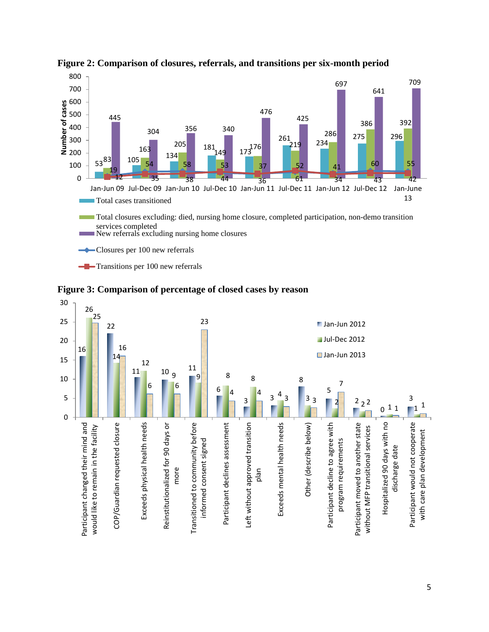

**Figure 2: Comparison of closures, referrals, and transitions per six-month period**





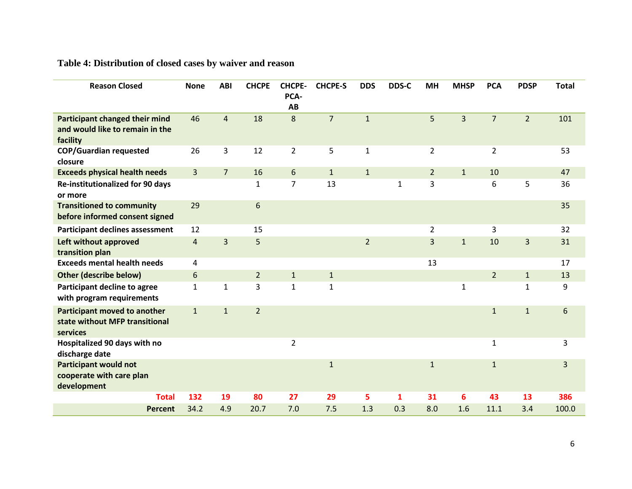# **Table 4: Distribution of closed cases by waiver and reason**

| <b>Reason Closed</b>                                                              | <b>None</b>    | <b>ABI</b>     | <b>CHCPE</b>   | <b>CHCPE-</b><br>PCA-<br>AB | <b>CHCPE-S</b> | <b>DDS</b>     | DDS-C | <b>MH</b>      | <b>MHSP</b>    | <b>PCA</b>     | <b>PDSP</b>    | <b>Total</b> |
|-----------------------------------------------------------------------------------|----------------|----------------|----------------|-----------------------------|----------------|----------------|-------|----------------|----------------|----------------|----------------|--------------|
| Participant changed their mind<br>and would like to remain in the<br>facility     | 46             | $\overline{4}$ | 18             | 8                           | $\overline{7}$ | $\mathbf{1}$   |       | 5              | $\overline{3}$ | $\overline{7}$ | $\overline{2}$ | 101          |
| <b>COP/Guardian requested</b><br>closure                                          | 26             | 3              | 12             | $\overline{2}$              | 5              | $\mathbf{1}$   |       | $\overline{2}$ |                | $\overline{2}$ |                | 53           |
| <b>Exceeds physical health needs</b>                                              | $\overline{3}$ | $\overline{7}$ | 16             | 6                           | $\mathbf{1}$   | $\mathbf{1}$   |       | $\overline{2}$ | $\mathbf{1}$   | 10             |                | 47           |
| Re-institutionalized for 90 days<br>or more                                       |                |                | $\mathbf{1}$   | $\overline{7}$              | 13             |                | 1     | 3              |                | 6              | 5              | 36           |
| <b>Transitioned to community</b><br>before informed consent signed                | 29             |                | $6\,$          |                             |                |                |       |                |                |                |                | 35           |
| <b>Participant declines assessment</b>                                            | 12             |                | 15             |                             |                |                |       | $\overline{2}$ |                | 3              |                | 32           |
| Left without approved<br>transition plan                                          | $\overline{4}$ | 3              | 5              |                             |                | $\overline{2}$ |       | $\overline{3}$ | $\mathbf{1}$   | 10             | 3              | 31           |
| <b>Exceeds mental health needs</b>                                                | 4              |                |                |                             |                |                |       | 13             |                |                |                | 17           |
| <b>Other (describe below)</b>                                                     | 6              |                | $\overline{2}$ | $\mathbf{1}$                | $\mathbf{1}$   |                |       |                |                | $2^{\circ}$    | $\mathbf{1}$   | 13           |
| Participant decline to agree<br>with program requirements                         | $\mathbf{1}$   | $\mathbf{1}$   | 3              | $\mathbf{1}$                | $\mathbf{1}$   |                |       |                | $\mathbf{1}$   |                | $\mathbf{1}$   | 9            |
| <b>Participant moved to another</b><br>state without MFP transitional<br>services | $\mathbf{1}$   | $\mathbf{1}$   | $\overline{2}$ |                             |                |                |       |                |                | $\mathbf 1$    | $\mathbf 1$    | 6            |
| Hospitalized 90 days with no<br>discharge date                                    |                |                |                | $\overline{2}$              |                |                |       |                |                | $\mathbf{1}$   |                | 3            |
| <b>Participant would not</b><br>cooperate with care plan<br>development           |                |                |                |                             | $\mathbf 1$    |                |       | $\mathbf 1$    |                | $\mathbf{1}$   |                | 3            |
| <b>Total</b>                                                                      | 132            | 19             | 80             | 27                          | 29             | 5              | 1     | 31             | 6              | 43             | 13             | 386          |
| <b>Percent</b>                                                                    | 34.2           | 4.9            | 20.7           | 7.0                         | 7.5            | 1.3            | 0.3   | 8.0            | 1.6            | 11.1           | 3.4            | 100.0        |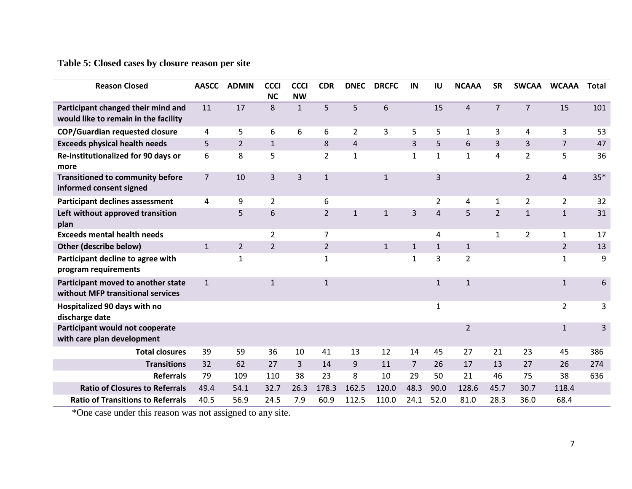# **Table 5: Closed cases by closure reason per site**

| <b>Reason Closed</b>                                                       | <b>AASCC</b>   | <b>ADMIN</b>   | <b>CCCI</b><br><b>NC</b> | <b>CCCI</b><br><b>NW</b> | <b>CDR</b>     | <b>DNEC</b>    | <b>DRCFC</b> | IN             | IU             | <b>NCAAA</b>   | <b>SR</b>      | <b>SWCAA</b>   | <b>WCAAA</b>   | <b>Total</b> |
|----------------------------------------------------------------------------|----------------|----------------|--------------------------|--------------------------|----------------|----------------|--------------|----------------|----------------|----------------|----------------|----------------|----------------|--------------|
| Participant changed their mind and<br>would like to remain in the facility | 11             | 17             | 8                        | $\mathbf{1}$             | 5              | 5              | 6            |                | 15             | $\overline{4}$ | $\overline{7}$ | $\overline{7}$ | 15             | 101          |
| <b>COP/Guardian requested closure</b>                                      | 4              | 5              | 6                        | 6                        | 6              | $\overline{2}$ | 3            | 5              | 5              | $\mathbf{1}$   | 3              | 4              | 3              | 53           |
| <b>Exceeds physical health needs</b>                                       | 5              | $\overline{2}$ | $\mathbf{1}$             |                          | 8              | $\overline{4}$ |              | 3              | 5              | 6              | 3              | 3              | $\overline{7}$ | 47           |
| Re-institutionalized for 90 days or<br>more                                | 6              | 8              | 5                        |                          | $\overline{2}$ | $\mathbf{1}$   |              | $\mathbf{1}$   | $\mathbf{1}$   | $\mathbf{1}$   | 4              | $\overline{2}$ | 5              | 36           |
| <b>Transitioned to community before</b><br>informed consent signed         | $\overline{7}$ | 10             | 3                        | $\overline{3}$           | $\mathbf{1}$   |                | $\mathbf{1}$ |                | $\overline{3}$ |                |                | $\overline{2}$ | $\overline{4}$ | $35*$        |
| <b>Participant declines assessment</b>                                     | 4              | 9              | 2                        |                          | 6              |                |              |                | $\overline{2}$ | 4              | $\mathbf{1}$   | $\overline{2}$ | $\overline{2}$ | 32           |
| Left without approved transition<br>plan                                   |                | 5              | 6                        |                          | $\overline{2}$ | $\mathbf{1}$   | $\mathbf{1}$ | $\overline{3}$ | $\overline{4}$ | 5              | $\overline{2}$ | $\mathbf{1}$   | $\mathbf{1}$   | 31           |
| <b>Exceeds mental health needs</b>                                         |                |                | $\overline{2}$           |                          | $\overline{7}$ |                |              |                | 4              |                | $\mathbf{1}$   | $\overline{2}$ | $\mathbf{1}$   | 17           |
| Other (describe below)                                                     | $\mathbf{1}$   | $\overline{2}$ | $\overline{2}$           |                          | $\overline{2}$ |                | $\mathbf{1}$ | $\mathbf{1}$   | $\mathbf{1}$   | $1\,$          |                |                | $\overline{2}$ | 13           |
| Participant decline to agree with<br>program requirements                  |                | $\mathbf{1}$   |                          |                          | $\mathbf{1}$   |                |              | 1              | 3              | $\overline{2}$ |                |                | $\mathbf{1}$   | 9            |
| Participant moved to another state<br>without MFP transitional services    | $\mathbf{1}$   |                | $\mathbf{1}$             |                          | $\mathbf{1}$   |                |              |                | $\mathbf{1}$   | $\mathbf{1}$   |                |                | $\mathbf{1}$   | 6            |
| Hospitalized 90 days with no<br>discharge date                             |                |                |                          |                          |                |                |              |                | $\mathbf{1}$   |                |                |                | $\overline{2}$ | 3            |
| Participant would not cooperate<br>with care plan development              |                |                |                          |                          |                |                |              |                |                | $\overline{2}$ |                |                | $\mathbf{1}$   | 3            |
| <b>Total closures</b>                                                      | 39             | 59             | 36                       | 10                       | 41             | 13             | 12           | 14             | 45             | 27             | 21             | 23             | 45             | 386          |
| <b>Transitions</b>                                                         | 32             | 62             | 27                       | 3                        | 14             | 9              | 11           | 7              | 26             | 17             | 13             | 27             | 26             | 274          |
| <b>Referrals</b>                                                           | 79             | 109            | 110                      | 38                       | 23             | 8              | 10           | 29             | 50             | 21             | 46             | 75             | 38             | 636          |
| <b>Ratio of Closures to Referrals</b>                                      | 49.4           | 54.1           | 32.7                     | 26.3                     | 178.3          | 162.5          | 120.0        | 48.3           | 90.0           | 128.6          | 45.7           | 30.7           | 118.4          |              |
| <b>Ratio of Transitions to Referrals</b>                                   | 40.5           | 56.9           | 24.5                     | 7.9                      | 60.9           | 112.5          | 110.0        | 24.1           | 52.0           | 81.0           | 28.3           | 36.0           | 68.4           |              |

\*One case under this reason was not assigned to any site.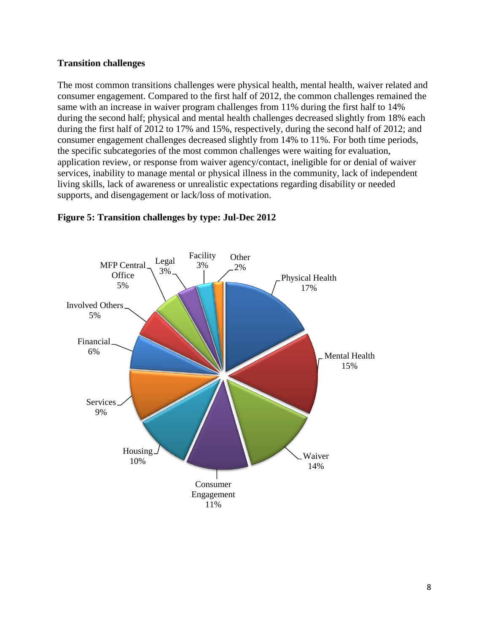#### **Transition challenges**

The most common transitions challenges were physical health, mental health, waiver related and consumer engagement. Compared to the first half of 2012, the common challenges remained the same with an increase in waiver program challenges from 11% during the first half to 14% during the second half; physical and mental health challenges decreased slightly from 18% each during the first half of 2012 to 17% and 15%, respectively, during the second half of 2012; and consumer engagement challenges decreased slightly from 14% to 11%. For both time periods, the specific subcategories of the most common challenges were waiting for evaluation, application review, or response from waiver agency/contact, ineligible for or denial of waiver services, inability to manage mental or physical illness in the community, lack of independent living skills, lack of awareness or unrealistic expectations regarding disability or needed supports, and disengagement or lack/loss of motivation.



## **Figure 5: Transition challenges by type: Jul-Dec 2012**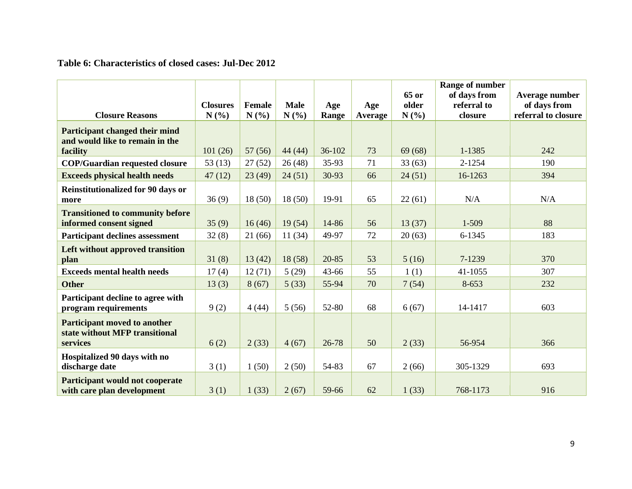## **Table 6: Characteristics of closed cases: Jul-Dec 2012**

|                                                                                   |                         |                       |                     |              |                | 65 or         | Range of number<br>of days from | Average number                      |
|-----------------------------------------------------------------------------------|-------------------------|-----------------------|---------------------|--------------|----------------|---------------|---------------------------------|-------------------------------------|
| <b>Closure Reasons</b>                                                            | <b>Closures</b><br>N(%) | <b>Female</b><br>N(%) | <b>Male</b><br>N(%) | Age<br>Range | Age<br>Average | older<br>N(%) | referral to<br>closure          | of days from<br>referral to closure |
| Participant changed their mind<br>and would like to remain in the                 |                         |                       |                     |              |                |               |                                 |                                     |
| facility                                                                          | 101(26)                 | 57(56)                | 44 (44)             | 36-102       | 73             | 69(68)        | 1-1385                          | 242                                 |
| <b>COP/Guardian requested closure</b>                                             | 53 $(13)$               | 27(52)                | 26(48)              | 35-93        | 71             | 33(63)        | 2-1254                          | 190                                 |
| <b>Exceeds physical health needs</b>                                              | 47(12)                  | 23(49)                | 24(51)              | 30-93        | 66             | 24(51)        | 16-1263                         | 394                                 |
| <b>Reinstitutionalized for 90 days or</b><br>more                                 | 36(9)                   | 18(50)                | 18(50)              | 19-91        | 65             | 22(61)        | N/A                             | N/A                                 |
| <b>Transitioned to community before</b><br>informed consent signed                | 35(9)                   | 16(46)                | 19(54)              | 14-86        | 56             | 13(37)        | 1-509                           | 88                                  |
| <b>Participant declines assessment</b>                                            | 32(8)                   | 21(66)                | 11(34)              | 49-97        | 72             | 20(63)        | 6-1345                          | 183                                 |
| Left without approved transition<br>plan                                          | 31(8)                   | 13(42)                | 18(58)              | 20-85        | 53             | 5(16)         | 7-1239                          | 370                                 |
| <b>Exceeds mental health needs</b>                                                | 17(4)                   | 12(71)                | 5(29)               | 43-66        | 55             | 1(1)          | 41-1055                         | 307                                 |
| <b>Other</b>                                                                      | 13(3)                   | 8(67)                 | 5(33)               | 55-94        | 70             | 7(54)         | 8-653                           | 232                                 |
| Participant decline to agree with<br>program requirements                         | 9(2)                    | 4(44)                 | 5(56)               | 52-80        | 68             | 6(67)         | 14-1417                         | 603                                 |
| <b>Participant moved to another</b><br>state without MFP transitional<br>services | 6(2)                    | 2(33)                 | 4(67)               | 26-78        | 50             | 2(33)         | 56-954                          | 366                                 |
| Hospitalized 90 days with no<br>discharge date                                    | 3(1)                    | 1(50)                 | 2(50)               | 54-83        | 67             | 2(66)         | 305-1329                        | 693                                 |
| <b>Participant would not cooperate</b><br>with care plan development              | 3(1)                    | 1(33)                 | 2(67)               | 59-66        | 62             | 1(33)         | 768-1173                        | 916                                 |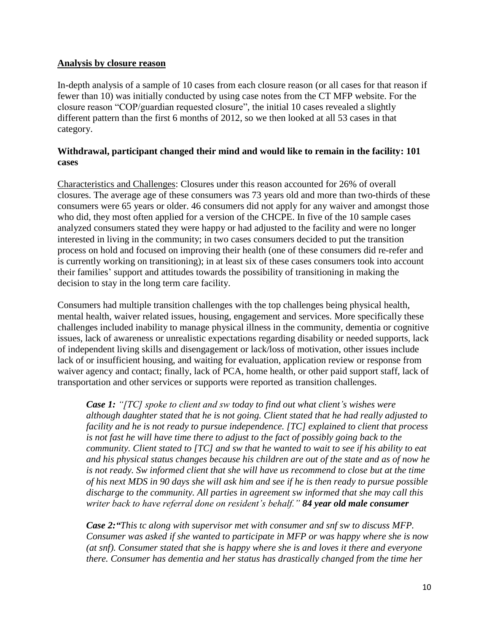#### **Analysis by closure reason**

In-depth analysis of a sample of 10 cases from each closure reason (or all cases for that reason if fewer than 10) was initially conducted by using case notes from the CT MFP website. For the closure reason "COP/guardian requested closure", the initial 10 cases revealed a slightly different pattern than the first 6 months of 2012, so we then looked at all 53 cases in that category.

## **Withdrawal, participant changed their mind and would like to remain in the facility: 101 cases**

Characteristics and Challenges: Closures under this reason accounted for 26% of overall closures. The average age of these consumers was 73 years old and more than two-thirds of these consumers were 65 years or older. 46 consumers did not apply for any waiver and amongst those who did, they most often applied for a version of the CHCPE. In five of the 10 sample cases analyzed consumers stated they were happy or had adjusted to the facility and were no longer interested in living in the community; in two cases consumers decided to put the transition process on hold and focused on improving their health (one of these consumers did re-refer and is currently working on transitioning); in at least six of these cases consumers took into account their families' support and attitudes towards the possibility of transitioning in making the decision to stay in the long term care facility.

Consumers had multiple transition challenges with the top challenges being physical health, mental health, waiver related issues, housing, engagement and services. More specifically these challenges included inability to manage physical illness in the community, dementia or cognitive issues, lack of awareness or unrealistic expectations regarding disability or needed supports, lack of independent living skills and disengagement or lack/loss of motivation, other issues include lack of or insufficient housing, and waiting for evaluation, application review or response from waiver agency and contact; finally, lack of PCA, home health, or other paid support staff, lack of transportation and other services or supports were reported as transition challenges.

*Case 1: "[TC] spoke to client and sw today to find out what client's wishes were although daughter stated that he is not going. Client stated that he had really adjusted to facility and he is not ready to pursue independence. [TC] explained to client that process is not fast he will have time there to adjust to the fact of possibly going back to the community. Client stated to [TC] and sw that he wanted to wait to see if his ability to eat and his physical status changes because his children are out of the state and as of now he is not ready. Sw informed client that she will have us recommend to close but at the time of his next MDS in 90 days she will ask him and see if he is then ready to pursue possible discharge to the community. All parties in agreement sw informed that she may call this writer back to have referral done on resident's behalf." 84 year old male consumer*

*Case 2:"This tc along with supervisor met with consumer and snf sw to discuss MFP. Consumer was asked if she wanted to participate in MFP or was happy where she is now (at snf). Consumer stated that she is happy where she is and loves it there and everyone there. Consumer has dementia and her status has drastically changed from the time her*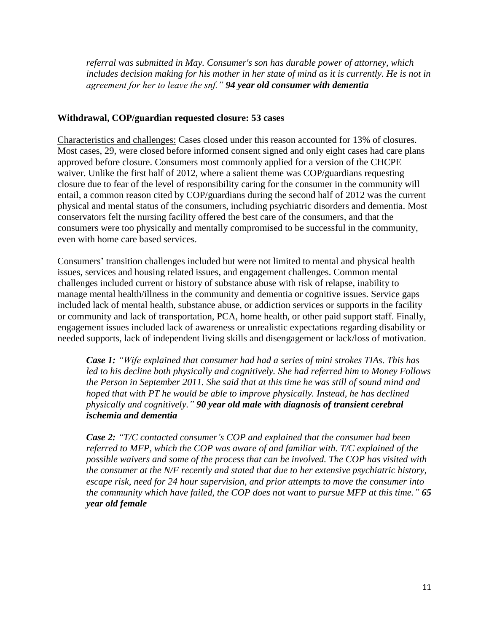*referral was submitted in May. Consumer's son has durable power of attorney, which includes decision making for his mother in her state of mind as it is currently. He is not in agreement for her to leave the snf." 94 year old consumer with dementia*

#### **Withdrawal, COP/guardian requested closure: 53 cases**

Characteristics and challenges: Cases closed under this reason accounted for 13% of closures. Most cases, 29, were closed before informed consent signed and only eight cases had care plans approved before closure. Consumers most commonly applied for a version of the CHCPE waiver. Unlike the first half of 2012, where a salient theme was COP/guardians requesting closure due to fear of the level of responsibility caring for the consumer in the community will entail, a common reason cited by COP/guardians during the second half of 2012 was the current physical and mental status of the consumers, including psychiatric disorders and dementia. Most conservators felt the nursing facility offered the best care of the consumers, and that the consumers were too physically and mentally compromised to be successful in the community, even with home care based services.

Consumers' transition challenges included but were not limited to mental and physical health issues, services and housing related issues, and engagement challenges. Common mental challenges included current or history of substance abuse with risk of relapse, inability to manage mental health/illness in the community and dementia or cognitive issues. Service gaps included lack of mental health, substance abuse, or addiction services or supports in the facility or community and lack of transportation, PCA, home health, or other paid support staff. Finally, engagement issues included lack of awareness or unrealistic expectations regarding disability or needed supports, lack of independent living skills and disengagement or lack/loss of motivation.

*Case 1: "Wife explained that consumer had had a series of mini strokes TIAs. This has led to his decline both physically and cognitively. She had referred him to Money Follows the Person in September 2011. She said that at this time he was still of sound mind and hoped that with PT he would be able to improve physically. Instead, he has declined physically and cognitively." 90 year old male with diagnosis of transient cerebral ischemia and dementia*

*Case 2: "T/C contacted consumer's COP and explained that the consumer had been referred to MFP, which the COP was aware of and familiar with. T/C explained of the possible waivers and some of the process that can be involved. The COP has visited with the consumer at the N/F recently and stated that due to her extensive psychiatric history, escape risk, need for 24 hour supervision, and prior attempts to move the consumer into the community which have failed, the COP does not want to pursue MFP at this time." 65 year old female*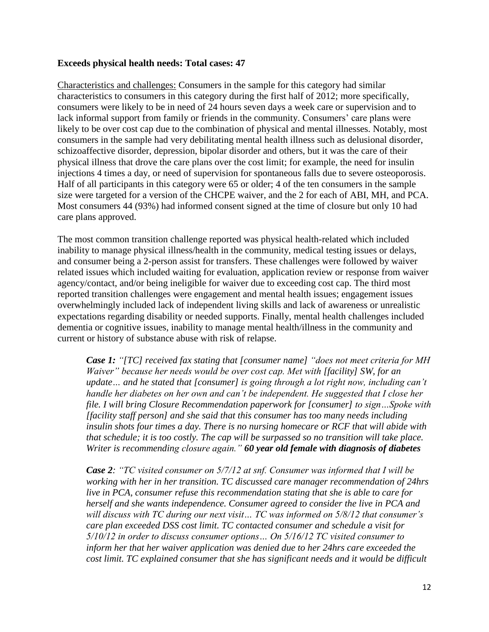#### **Exceeds physical health needs: Total cases: 47**

Characteristics and challenges: Consumers in the sample for this category had similar characteristics to consumers in this category during the first half of 2012; more specifically, consumers were likely to be in need of 24 hours seven days a week care or supervision and to lack informal support from family or friends in the community. Consumers' care plans were likely to be over cost cap due to the combination of physical and mental illnesses. Notably, most consumers in the sample had very debilitating mental health illness such as delusional disorder, schizoaffective disorder, depression, bipolar disorder and others, but it was the care of their physical illness that drove the care plans over the cost limit; for example, the need for insulin injections 4 times a day, or need of supervision for spontaneous falls due to severe osteoporosis. Half of all participants in this category were 65 or older; 4 of the ten consumers in the sample size were targeted for a version of the CHCPE waiver, and the 2 for each of ABI, MH, and PCA. Most consumers 44 (93%) had informed consent signed at the time of closure but only 10 had care plans approved.

The most common transition challenge reported was physical health-related which included inability to manage physical illness/health in the community, medical testing issues or delays, and consumer being a 2-person assist for transfers. These challenges were followed by waiver related issues which included waiting for evaluation, application review or response from waiver agency/contact, and/or being ineligible for waiver due to exceeding cost cap. The third most reported transition challenges were engagement and mental health issues; engagement issues overwhelmingly included lack of independent living skills and lack of awareness or unrealistic expectations regarding disability or needed supports. Finally, mental health challenges included dementia or cognitive issues, inability to manage mental health/illness in the community and current or history of substance abuse with risk of relapse.

*Case 1: "[TC] received fax stating that [consumer name] "does not meet criteria for MH Waiver" because her needs would be over cost cap. Met with [facility] SW, for an update… and he stated that [consumer] is going through a lot right now, including can't handle her diabetes on her own and can't be independent. He suggested that I close her file. I will bring Closure Recommendation paperwork for [consumer] to sign…Spoke with [facility staff person] and she said that this consumer has too many needs including insulin shots four times a day. There is no nursing homecare or RCF that will abide with that schedule; it is too costly. The cap will be surpassed so no transition will take place. Writer is recommending closure again." 60 year old female with diagnosis of diabetes*

*Case 2: "TC visited consumer on 5/7/12 at snf. Consumer was informed that I will be working with her in her transition. TC discussed care manager recommendation of 24hrs live in PCA, consumer refuse this recommendation stating that she is able to care for herself and she wants independence. Consumer agreed to consider the live in PCA and will discuss with TC during our next visit… TC was informed on 5/8/12 that consumer's care plan exceeded DSS cost limit. TC contacted consumer and schedule a visit for 5/10/12 in order to discuss consumer options… On 5/16/12 TC visited consumer to inform her that her waiver application was denied due to her 24hrs care exceeded the cost limit. TC explained consumer that she has significant needs and it would be difficult*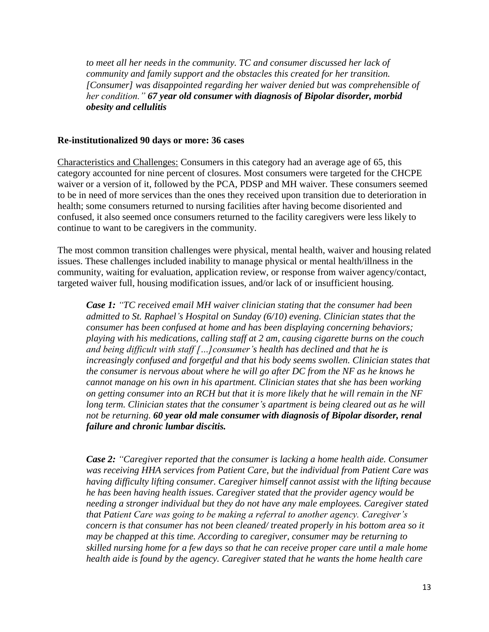to meet all her needs in the community. TC and consumer discussed her lack of *community and family support and the obstacles this created for her transition. [Consumer] was disappointed regarding her waiver denied but was comprehensible of her condition." 67 year old consumer with diagnosis of Bipolar disorder, morbid obesity and cellulitis*

#### **Re-institutionalized 90 days or more: 36 cases**

Characteristics and Challenges: Consumers in this category had an average age of 65, this category accounted for nine percent of closures. Most consumers were targeted for the CHCPE waiver or a version of it, followed by the PCA, PDSP and MH waiver. These consumers seemed to be in need of more services than the ones they received upon transition due to deterioration in health; some consumers returned to nursing facilities after having become disoriented and confused, it also seemed once consumers returned to the facility caregivers were less likely to continue to want to be caregivers in the community.

The most common transition challenges were physical, mental health, waiver and housing related issues. These challenges included inability to manage physical or mental health/illness in the community, waiting for evaluation, application review, or response from waiver agency/contact, targeted waiver full, housing modification issues, and/or lack of or insufficient housing.

*Case 1: "TC received email MH waiver clinician stating that the consumer had been admitted to St. Raphael's Hospital on Sunday (6/10) evening. Clinician states that the consumer has been confused at home and has been displaying concerning behaviors; playing with his medications, calling staff at 2 am, causing cigarette burns on the couch and being difficult with staff […]consumer's health has declined and that he is increasingly confused and forgetful and that his body seems swollen. Clinician states that the consumer is nervous about where he will go after DC from the NF as he knows he cannot manage on his own in his apartment. Clinician states that she has been working on getting consumer into an RCH but that it is more likely that he will remain in the NF long term. Clinician states that the consumer's apartment is being cleared out as he will not be returning. 60 year old male consumer with diagnosis of Bipolar disorder, renal failure and chronic lumbar discitis.* 

*Case 2: "Caregiver reported that the consumer is lacking a home health aide. Consumer was receiving HHA services from Patient Care, but the individual from Patient Care was having difficulty lifting consumer. Caregiver himself cannot assist with the lifting because he has been having health issues. Caregiver stated that the provider agency would be needing a stronger individual but they do not have any male employees. Caregiver stated that Patient Care was going to be making a referral to another agency. Caregiver's concern is that consumer has not been cleaned/ treated properly in his bottom area so it may be chapped at this time. According to caregiver, consumer may be returning to skilled nursing home for a few days so that he can receive proper care until a male home health aide is found by the agency. Caregiver stated that he wants the home health care*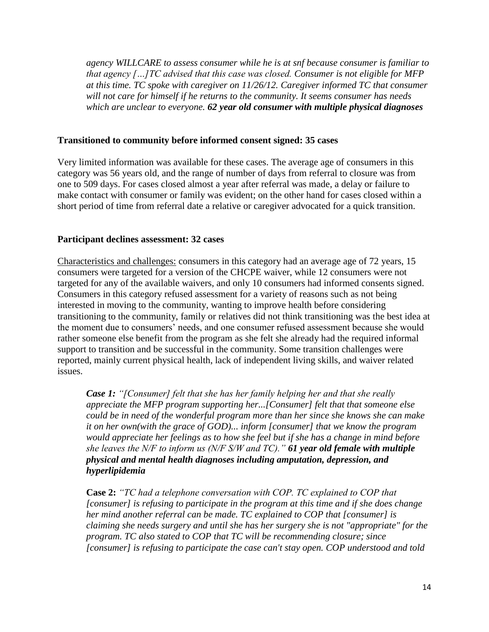*agency WILLCARE to assess consumer while he is at snf because consumer is familiar to that agency […]TC advised that this case was closed. Consumer is not eligible for MFP at this time. TC spoke with caregiver on 11/26/12. Caregiver informed TC that consumer will not care for himself if he returns to the community. It seems consumer has needs which are unclear to everyone. 62 year old consumer with multiple physical diagnoses*

#### **Transitioned to community before informed consent signed: 35 cases**

Very limited information was available for these cases. The average age of consumers in this category was 56 years old, and the range of number of days from referral to closure was from one to 509 days. For cases closed almost a year after referral was made, a delay or failure to make contact with consumer or family was evident; on the other hand for cases closed within a short period of time from referral date a relative or caregiver advocated for a quick transition.

## **Participant declines assessment: 32 cases**

Characteristics and challenges: consumers in this category had an average age of 72 years, 15 consumers were targeted for a version of the CHCPE waiver, while 12 consumers were not targeted for any of the available waivers, and only 10 consumers had informed consents signed. Consumers in this category refused assessment for a variety of reasons such as not being interested in moving to the community, wanting to improve health before considering transitioning to the community, family or relatives did not think transitioning was the best idea at the moment due to consumers' needs, and one consumer refused assessment because she would rather someone else benefit from the program as she felt she already had the required informal support to transition and be successful in the community. Some transition challenges were reported, mainly current physical health, lack of independent living skills, and waiver related issues.

*Case 1: "[Consumer] felt that she has her family helping her and that she really appreciate the MFP program supporting her...[Consumer] felt that that someone else could be in need of the wonderful program more than her since she knows she can make it on her own(with the grace of GOD)... inform [consumer] that we know the program would appreciate her feelings as to how she feel but if she has a change in mind before she leaves the N/F to inform us (N/F S/W and TC)." 61 year old female with multiple physical and mental health diagnoses including amputation, depression, and hyperlipidemia*

**Case 2:** *"TC had a telephone conversation with COP. TC explained to COP that [consumer] is refusing to participate in the program at this time and if she does change her mind another referral can be made. TC explained to COP that [consumer] is claiming she needs surgery and until she has her surgery she is not "appropriate" for the program. TC also stated to COP that TC will be recommending closure; since [consumer] is refusing to participate the case can't stay open. COP understood and told*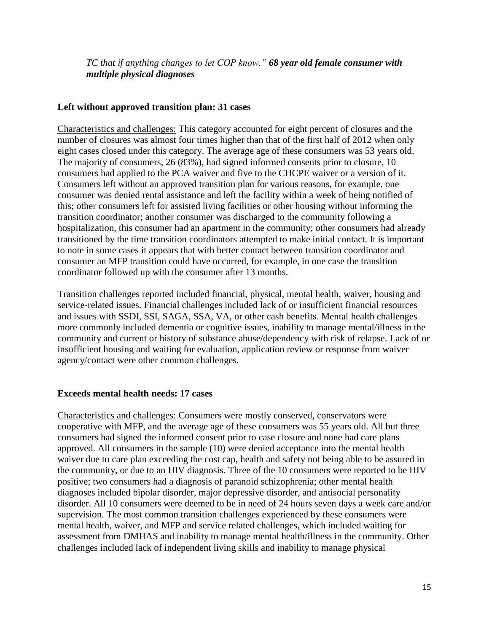*TC that if anything changes to let COP know." 68 year old female consumer with multiple physical diagnoses*

## **Left without approved transition plan: 31 cases**

Characteristics and challenges: This category accounted for eight percent of closures and the number of closures was almost four times higher than that of the first half of 2012 when only eight cases closed under this category. The average age of these consumers was 53 years old. The majority of consumers, 26 (83%), had signed informed consents prior to closure, 10 consumers had applied to the PCA waiver and five to the CHCPE waiver or a version of it. Consumers left without an approved transition plan for various reasons, for example, one consumer was denied rental assistance and left the facility within a week of being notified of this; other consumers left for assisted living facilities or other housing without informing the transition coordinator; another consumer was discharged to the community following a hospitalization, this consumer had an apartment in the community; other consumers had already transitioned by the time transition coordinators attempted to make initial contact. It is important to note in some cases it appears that with better contact between transition coordinator and consumer an MFP transition could have occurred, for example, in one case the transition coordinator followed up with the consumer after 13 months.

Transition challenges reported included financial, physical, mental health, waiver, housing and service-related issues. Financial challenges included lack of or insufficient financial resources and issues with SSDI, SSI, SAGA, SSA, VA, or other cash benefits. Mental health challenges more commonly included dementia or cognitive issues, inability to manage mental/illness in the community and current or history of substance abuse/dependency with risk of relapse. Lack of or insufficient housing and waiting for evaluation, application review or response from waiver agency/contact were other common challenges.

#### **Exceeds mental health needs: 17 cases**

Characteristics and challenges: Consumers were mostly conserved, conservators were cooperative with MFP, and the average age of these consumers was 55 years old. All but three consumers had signed the informed consent prior to case closure and none had care plans approved. All consumers in the sample (10) were denied acceptance into the mental health waiver due to care plan exceeding the cost cap, health and safety not being able to be assured in the community, or due to an HIV diagnosis. Three of the 10 consumers were reported to be HIV positive; two consumers had a diagnosis of paranoid schizophrenia; other mental health diagnoses included bipolar disorder, major depressive disorder, and antisocial personality disorder. All 10 consumers were deemed to be in need of 24 hours seven days a week care and/or supervision. The most common transition challenges experienced by these consumers were mental health, waiver, and MFP and service related challenges, which included waiting for assessment from DMHAS and inability to manage mental health/illness in the community. Other challenges included lack of independent living skills and inability to manage physical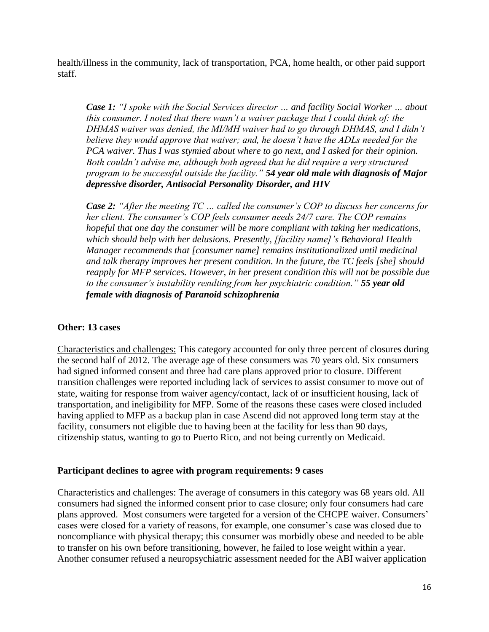health/illness in the community, lack of transportation, PCA, home health, or other paid support staff.

*Case 1: "I spoke with the Social Services director … and facility Social Worker … about this consumer. I noted that there wasn't a waiver package that I could think of: the DHMAS waiver was denied, the MI/MH waiver had to go through DHMAS, and I didn't believe they would approve that waiver; and, he doesn't have the ADLs needed for the PCA waiver. Thus I was stymied about where to go next, and I asked for their opinion. Both couldn't advise me, although both agreed that he did require a very structured program to be successful outside the facility." 54 year old male with diagnosis of Major depressive disorder, Antisocial Personality Disorder, and HIV*

*Case 2: "After the meeting TC … called the consumer's COP to discuss her concerns for her client. The consumer's COP feels consumer needs 24/7 care. The COP remains hopeful that one day the consumer will be more compliant with taking her medications, which should help with her delusions. Presently, [facility name]'s Behavioral Health Manager recommends that [consumer name] remains institutionalized until medicinal and talk therapy improves her present condition. In the future, the TC feels [she] should reapply for MFP services. However, in her present condition this will not be possible due to the consumer's instability resulting from her psychiatric condition." 55 year old female with diagnosis of Paranoid schizophrenia*

#### **Other: 13 cases**

Characteristics and challenges: This category accounted for only three percent of closures during the second half of 2012. The average age of these consumers was 70 years old. Six consumers had signed informed consent and three had care plans approved prior to closure. Different transition challenges were reported including lack of services to assist consumer to move out of state, waiting for response from waiver agency/contact, lack of or insufficient housing, lack of transportation, and ineligibility for MFP. Some of the reasons these cases were closed included having applied to MFP as a backup plan in case Ascend did not approved long term stay at the facility, consumers not eligible due to having been at the facility for less than 90 days, citizenship status, wanting to go to Puerto Rico, and not being currently on Medicaid.

#### **Participant declines to agree with program requirements: 9 cases**

Characteristics and challenges: The average of consumers in this category was 68 years old. All consumers had signed the informed consent prior to case closure; only four consumers had care plans approved. Most consumers were targeted for a version of the CHCPE waiver. Consumers' cases were closed for a variety of reasons, for example, one consumer's case was closed due to noncompliance with physical therapy; this consumer was morbidly obese and needed to be able to transfer on his own before transitioning, however, he failed to lose weight within a year. Another consumer refused a neuropsychiatric assessment needed for the ABI waiver application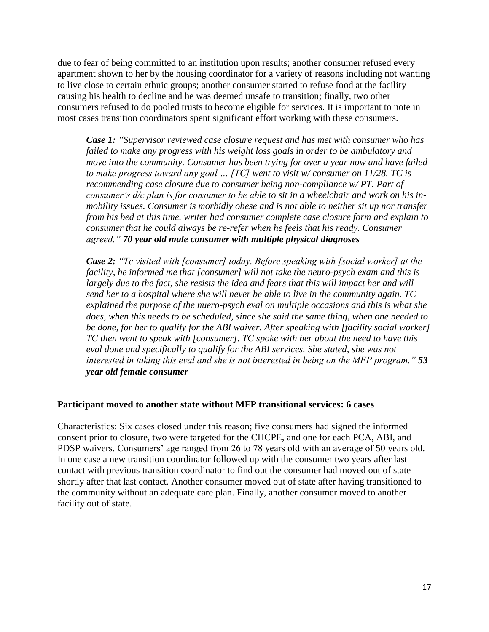due to fear of being committed to an institution upon results; another consumer refused every apartment shown to her by the housing coordinator for a variety of reasons including not wanting to live close to certain ethnic groups; another consumer started to refuse food at the facility causing his health to decline and he was deemed unsafe to transition; finally, two other consumers refused to do pooled trusts to become eligible for services. It is important to note in most cases transition coordinators spent significant effort working with these consumers.

*Case 1: "Supervisor reviewed case closure request and has met with consumer who has failed to make any progress with his weight loss goals in order to be ambulatory and move into the community. Consumer has been trying for over a year now and have failed to make progress toward any goal … [TC] went to visit w/ consumer on 11/28. TC is recommending case closure due to consumer being non-compliance w/PT. Part of consumer's d/c plan is for consumer to be able to sit in a wheelchair and work on his inmobility issues. Consumer is morbidly obese and is not able to neither sit up nor transfer from his bed at this time. writer had consumer complete case closure form and explain to consumer that he could always be re-refer when he feels that his ready. Consumer agreed." 70 year old male consumer with multiple physical diagnoses*

*Case 2: "Tc visited with [consumer] today. Before speaking with [social worker] at the facility, he informed me that [consumer] will not take the neuro-psych exam and this is largely due to the fact, she resists the idea and fears that this will impact her and will send her to a hospital where she will never be able to live in the community again. TC explained the purpose of the nuero-psych eval on multiple occasions and this is what she does, when this needs to be scheduled, since she said the same thing, when one needed to be done, for her to qualify for the ABI waiver. After speaking with [facility social worker] TC then went to speak with [consumer]. TC spoke with her about the need to have this eval done and specifically to qualify for the ABI services. She stated, she was not interested in taking this eval and she is not interested in being on the MFP program." 53 year old female consumer* 

#### **Participant moved to another state without MFP transitional services: 6 cases**

Characteristics: Six cases closed under this reason; five consumers had signed the informed consent prior to closure, two were targeted for the CHCPE, and one for each PCA, ABI, and PDSP waivers. Consumers' age ranged from 26 to 78 years old with an average of 50 years old. In one case a new transition coordinator followed up with the consumer two years after last contact with previous transition coordinator to find out the consumer had moved out of state shortly after that last contact. Another consumer moved out of state after having transitioned to the community without an adequate care plan. Finally, another consumer moved to another facility out of state.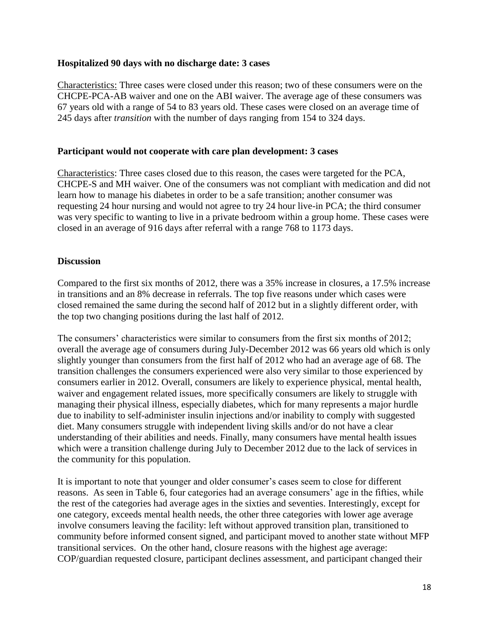#### **Hospitalized 90 days with no discharge date: 3 cases**

Characteristics: Three cases were closed under this reason; two of these consumers were on the CHCPE-PCA-AB waiver and one on the ABI waiver. The average age of these consumers was 67 years old with a range of 54 to 83 years old. These cases were closed on an average time of 245 days after *transition* with the number of days ranging from 154 to 324 days.

## **Participant would not cooperate with care plan development: 3 cases**

Characteristics: Three cases closed due to this reason, the cases were targeted for the PCA, CHCPE-S and MH waiver. One of the consumers was not compliant with medication and did not learn how to manage his diabetes in order to be a safe transition; another consumer was requesting 24 hour nursing and would not agree to try 24 hour live-in PCA; the third consumer was very specific to wanting to live in a private bedroom within a group home. These cases were closed in an average of 916 days after referral with a range 768 to 1173 days.

## **Discussion**

Compared to the first six months of 2012, there was a 35% increase in closures, a 17.5% increase in transitions and an 8% decrease in referrals. The top five reasons under which cases were closed remained the same during the second half of 2012 but in a slightly different order, with the top two changing positions during the last half of 2012.

The consumers' characteristics were similar to consumers from the first six months of 2012; overall the average age of consumers during July-December 2012 was 66 years old which is only slightly younger than consumers from the first half of 2012 who had an average age of 68. The transition challenges the consumers experienced were also very similar to those experienced by consumers earlier in 2012. Overall, consumers are likely to experience physical, mental health, waiver and engagement related issues, more specifically consumers are likely to struggle with managing their physical illness, especially diabetes, which for many represents a major hurdle due to inability to self-administer insulin injections and/or inability to comply with suggested diet. Many consumers struggle with independent living skills and/or do not have a clear understanding of their abilities and needs. Finally, many consumers have mental health issues which were a transition challenge during July to December 2012 due to the lack of services in the community for this population.

It is important to note that younger and older consumer's cases seem to close for different reasons. As seen in Table 6, four categories had an average consumers' age in the fifties, while the rest of the categories had average ages in the sixties and seventies. Interestingly, except for one category, exceeds mental health needs, the other three categories with lower age average involve consumers leaving the facility: left without approved transition plan, transitioned to community before informed consent signed, and participant moved to another state without MFP transitional services. On the other hand, closure reasons with the highest age average: COP/guardian requested closure, participant declines assessment, and participant changed their